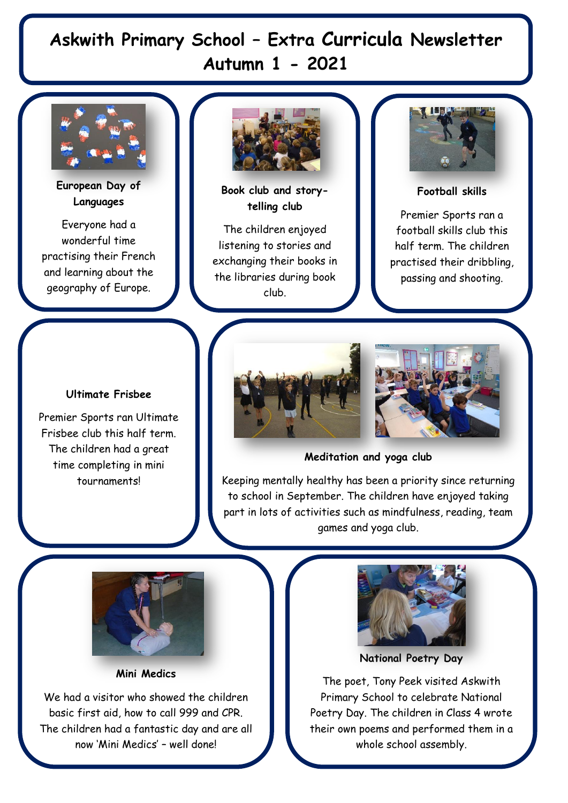## **Askwith Primary School – Extra Curricula Newsletter Autumn 1 - 2021**



**European Day of Languages**

Everyone had a wonderful time practising their French and learning about the geography of Europe.



**Book club and storytelling club**

The children enjoyed listening to stories and exchanging their books in the libraries during book club.



**Football skills**

Premier Sports ran a football skills club this half term. The children practised their dribbling, passing and shooting.

## **Ultimate Frisbee**

Premier Sports ran Ultimate Frisbee club this half term. The children had a great time completing in mini tournaments!





**Meditation and yoga club**

Keeping mentally healthy has been a priority since returning to school in September. The children have enjoyed taking part in lots of activities such as mindfulness, reading, team games and yoga club.



**Mini Medics**

We had a visitor who showed the children basic first aid, how to call 999 and CPR. The children had a fantastic day and are all now 'Mini Medics' – well done!



**National Poetry Day** 

The poet, Tony Peek visited Askwith Primary School to celebrate National Poetry Day. The children in Class 4 wrote their own poems and performed them in a whole school assembly.